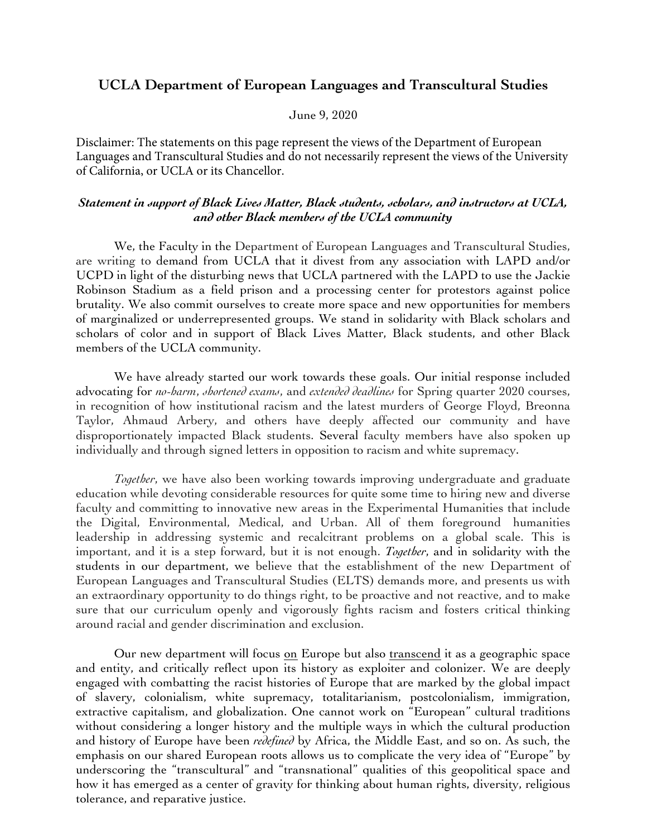## **UCLA Department of European Languages and Transcultural Studies**

## June 9, 2020

Disclaimer: The statements on this page represent the views of the Department of European Languages and Transcultural Studies and do not necessarily represent the views of the University of California, or UCLA or its Chancellor.

## *Statement in support of Black Lives Matter, Black students, scholars, and instructors at UCLA, and other Black members of the UCLA community*

We, the Faculty in the Department of European Languages and Transcultural Studies, are writing to demand from UCLA that it divest from any association with LAPD and/or UCPD in light of the disturbing news that UCLA partnered with the LAPD to use the Jackie Robinson Stadium as a field prison and a processing center for protestors against police brutality. We also commit ourselves to create more space and new opportunities for members of marginalized or underrepresented groups. We stand in solidarity with Black scholars and scholars of color and in support of Black Lives Matter, Black students, and other Black members of the UCLA community.

We have already started our work towards these goals. Our initial response included advocating for *no-harm*, *shortened exams*, and *extended deadlines* for Spring quarter 2020 courses, in recognition of how institutional racism and the latest murders of George Floyd, Breonna Taylor, Ahmaud Arbery, and others have deeply affected our community and have disproportionately impacted Black students. Several faculty members have also spoken up individually and through signed letters in opposition to racism and white supremacy.

*Together*, we have also been working towards improving undergraduate and graduate education while devoting considerable resources for quite some time to hiring new and diverse faculty and committing to innovative new areas in the Experimental Humanities that include the Digital, Environmental, Medical, and Urban. All of them foreground humanities leadership in addressing systemic and recalcitrant problems on a global scale. This is important, and it is a step forward, but it is not enough. *Together*, and in solidarity with the students in our department, we believe that the establishment of the new Department of European Languages and Transcultural Studies (ELTS) demands more, and presents us with an extraordinary opportunity to do things right, to be proactive and not reactive, and to make sure that our curriculum openly and vigorously fights racism and fosters critical thinking around racial and gender discrimination and exclusion.

Our new department will focus on Europe but also transcend it as a geographic space and entity, and critically reflect upon its history as exploiter and colonizer. We are deeply engaged with combatting the racist histories of Europe that are marked by the global impact of slavery, colonialism, white supremacy, totalitarianism, postcolonialism, immigration, extractive capitalism, and globalization. One cannot work on "European" cultural traditions without considering a longer history and the multiple ways in which the cultural production and history of Europe have been *redefined* by Africa, the Middle East, and so on. As such, the emphasis on our shared European roots allows us to complicate the very idea of "Europe" by underscoring the "transcultural" and "transnational" qualities of this geopolitical space and how it has emerged as a center of gravity for thinking about human rights, diversity, religious tolerance, and reparative justice.